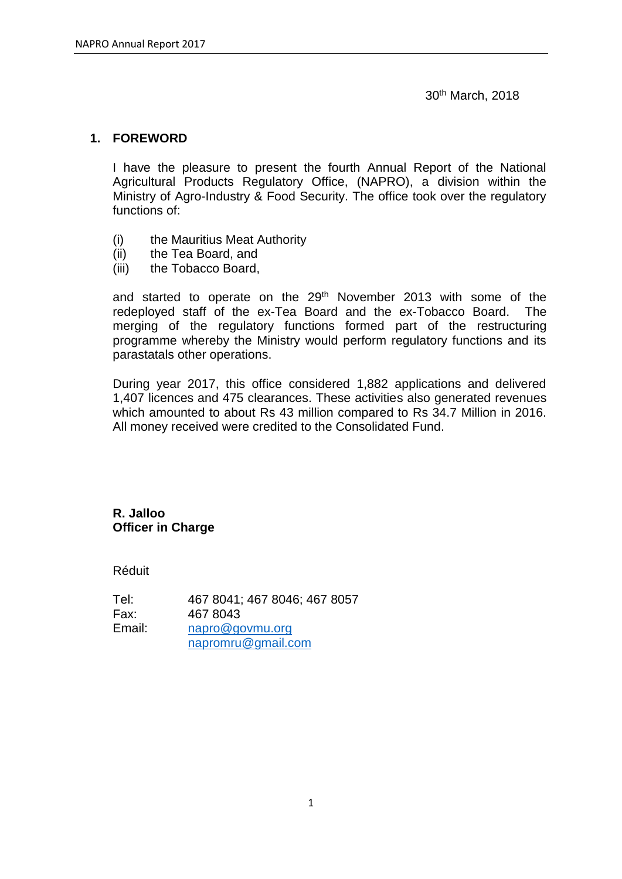30th March, 2018

#### **1. FOREWORD**

I have the pleasure to present the fourth Annual Report of the National Agricultural Products Regulatory Office, (NAPRO), a division within the Ministry of Agro-Industry & Food Security. The office took over the regulatory functions of:

- (i) the Mauritius Meat Authority
- (ii) the Tea Board, and
- (iii) the Tobacco Board,

and started to operate on the 29<sup>th</sup> November 2013 with some of the redeployed staff of the ex-Tea Board and the ex-Tobacco Board. The merging of the regulatory functions formed part of the restructuring programme whereby the Ministry would perform regulatory functions and its parastatals other operations.

During year 2017, this office considered 1,882 applications and delivered 1,407 licences and 475 clearances. These activities also generated revenues which amounted to about Rs 43 million compared to Rs 34.7 Million in 2016. All money received were credited to the Consolidated Fund.

## **R. Jalloo Officer in Charge**

Réduit

| Tel:   | 467 8041; 467 8046; 467 8057 |
|--------|------------------------------|
| Fax:   | 467 8043                     |
| Email: | napro@govmu.org              |
|        | napromru@gmail.com           |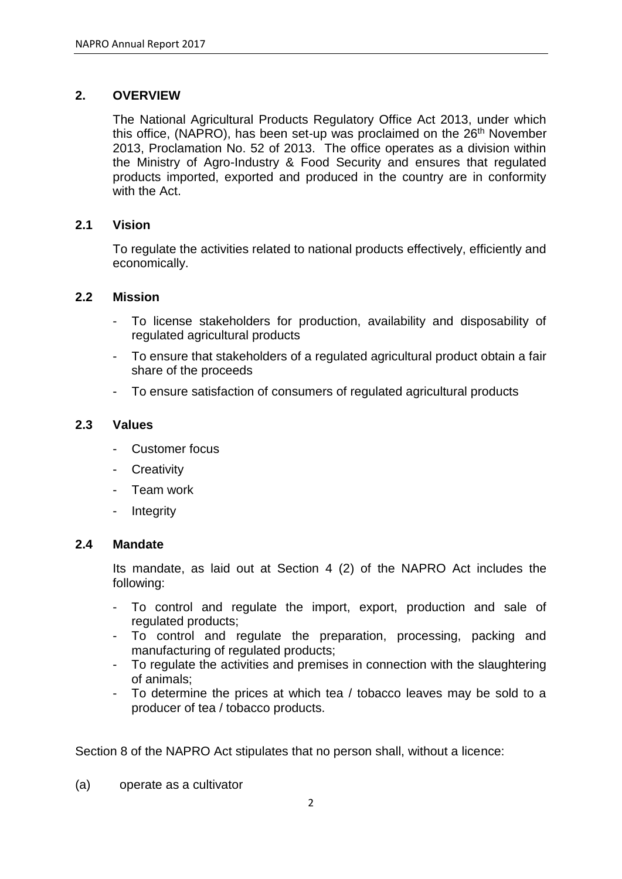## **2. OVERVIEW**

The National Agricultural Products Regulatory Office Act 2013, under which this office, (NAPRO), has been set-up was proclaimed on the  $26<sup>th</sup>$  November 2013, Proclamation No. 52 of 2013. The office operates as a division within the Ministry of Agro-Industry & Food Security and ensures that regulated products imported, exported and produced in the country are in conformity with the Act.

## **2.1 Vision**

To regulate the activities related to national products effectively, efficiently and economically.

## **2.2 Mission**

- To license stakeholders for production, availability and disposability of regulated agricultural products
- To ensure that stakeholders of a regulated agricultural product obtain a fair share of the proceeds
- To ensure satisfaction of consumers of regulated agricultural products

## **2.3 Values**

- Customer focus
- **Creativity**
- Team work
- Integrity

#### **2.4 Mandate**

Its mandate, as laid out at Section 4 (2) of the NAPRO Act includes the following:

- To control and regulate the import, export, production and sale of regulated products;
- To control and regulate the preparation, processing, packing and manufacturing of regulated products;
- To regulate the activities and premises in connection with the slaughtering of animals;
- To determine the prices at which tea / tobacco leaves may be sold to a producer of tea / tobacco products.

Section 8 of the NAPRO Act stipulates that no person shall, without a licence:

(a) operate as a cultivator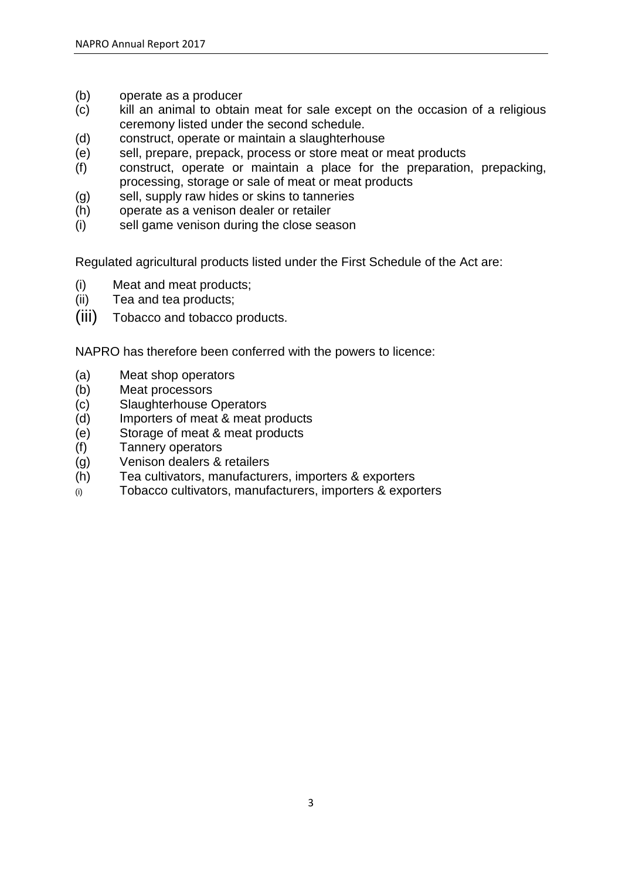- (b) operate as a producer
- (c) kill an animal to obtain meat for sale except on the occasion of a religious ceremony listed under the second schedule.
- (d) construct, operate or maintain a slaughterhouse
- (e) sell, prepare, prepack, process or store meat or meat products
- (f) construct, operate or maintain a place for the preparation, prepacking, processing, storage or sale of meat or meat products
- (g) sell, supply raw hides or skins to tanneries
- (h) operate as a venison dealer or retailer
- (i) sell game venison during the close season

Regulated agricultural products listed under the First Schedule of the Act are:

- (i) Meat and meat products;
- (ii) Tea and tea products;
- (iii) Tobacco and tobacco products.

NAPRO has therefore been conferred with the powers to licence:

- (a) Meat shop operators
- (b) Meat processors
- (c) Slaughterhouse Operators
- (d) Importers of meat & meat products
- (e) Storage of meat & meat products
- (f) Tannery operators
- (g) Venison dealers & retailers
- (h) Tea cultivators, manufacturers, importers & exporters
- (i) Tobacco cultivators, manufacturers, importers & exporters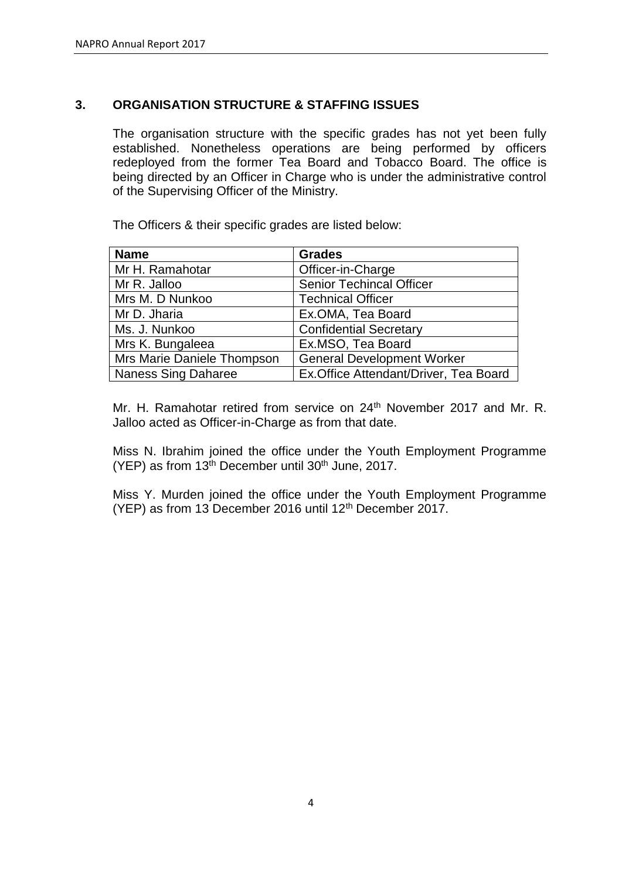## **3. ORGANISATION STRUCTURE & STAFFING ISSUES**

The organisation structure with the specific grades has not yet been fully established. Nonetheless operations are being performed by officers redeployed from the former Tea Board and Tobacco Board. The office is being directed by an Officer in Charge who is under the administrative control of the Supervising Officer of the Ministry.

The Officers & their specific grades are listed below:

| <b>Name</b>                | <b>Grades</b>                          |
|----------------------------|----------------------------------------|
| Mr H. Ramahotar            | Officer-in-Charge                      |
| Mr R. Jalloo               | <b>Senior Techincal Officer</b>        |
| Mrs M. D Nunkoo            | <b>Technical Officer</b>               |
| Mr D. Jharia               | Ex.OMA, Tea Board                      |
| Ms. J. Nunkoo              | <b>Confidential Secretary</b>          |
| Mrs K. Bungaleea           | Ex.MSO, Tea Board                      |
| Mrs Marie Daniele Thompson | <b>General Development Worker</b>      |
| Naness Sing Daharee        | Ex. Office Attendant/Driver, Tea Board |

Mr. H. Ramahotar retired from service on 24<sup>th</sup> November 2017 and Mr. R. Jalloo acted as Officer-in-Charge as from that date.

Miss N. Ibrahim joined the office under the Youth Employment Programme (YEP) as from  $13<sup>th</sup>$  December until  $30<sup>th</sup>$  June, 2017.

Miss Y. Murden joined the office under the Youth Employment Programme (YEP) as from 13 December 2016 until 12<sup>th</sup> December 2017.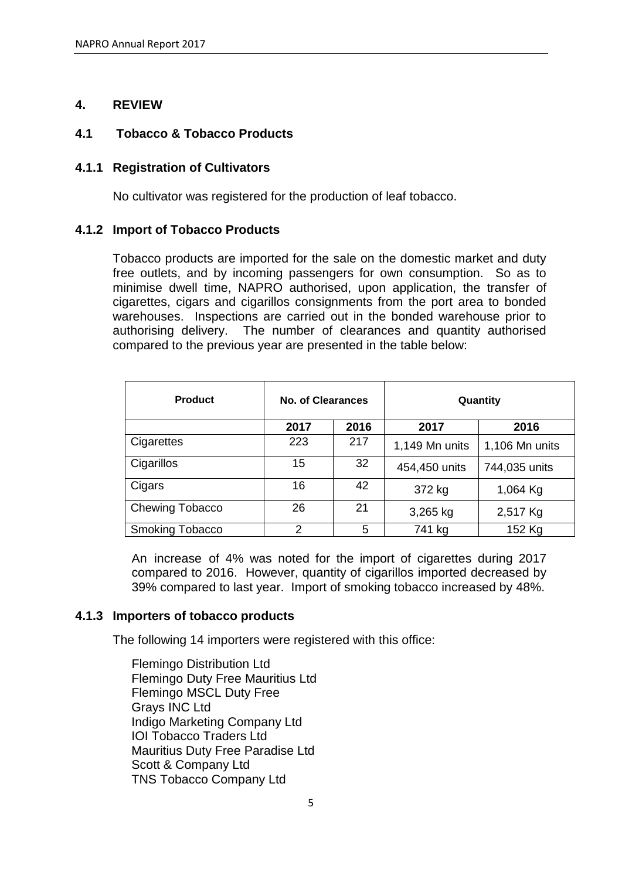## **4. REVIEW**

## **4.1 Tobacco & Tobacco Products**

## **4.1.1 Registration of Cultivators**

No cultivator was registered for the production of leaf tobacco.

## **4.1.2 Import of Tobacco Products**

Tobacco products are imported for the sale on the domestic market and duty free outlets, and by incoming passengers for own consumption. So as to minimise dwell time, NAPRO authorised, upon application, the transfer of cigarettes, cigars and cigarillos consignments from the port area to bonded warehouses. Inspections are carried out in the bonded warehouse prior to authorising delivery. The number of clearances and quantity authorised compared to the previous year are presented in the table below:

| <b>Product</b>         | No. of Clearances |      | Quantity       |                |
|------------------------|-------------------|------|----------------|----------------|
|                        | 2017              | 2016 | 2017           | 2016           |
| Cigarettes             | 223               | 217  | 1,149 Mn units | 1,106 Mn units |
| Cigarillos             | 15                | 32   | 454,450 units  | 744,035 units  |
| Cigars                 | 16                | 42   | 372 kg         | 1,064 Kg       |
| Chewing Tobacco        | 26                | 21   | 3,265 kg       | 2,517 Kg       |
| <b>Smoking Tobacco</b> | 2                 | 5    | 741 kg         | 152 Kg         |

An increase of 4% was noted for the import of cigarettes during 2017 compared to 2016. However, quantity of cigarillos imported decreased by 39% compared to last year. Import of smoking tobacco increased by 48%.

## **4.1.3 Importers of tobacco products**

The following 14 importers were registered with this office:

Flemingo Distribution Ltd Flemingo Duty Free Mauritius Ltd Flemingo MSCL Duty Free Grays INC Ltd Indigo Marketing Company Ltd IOI Tobacco Traders Ltd Mauritius Duty Free Paradise Ltd Scott & Company Ltd TNS Tobacco Company Ltd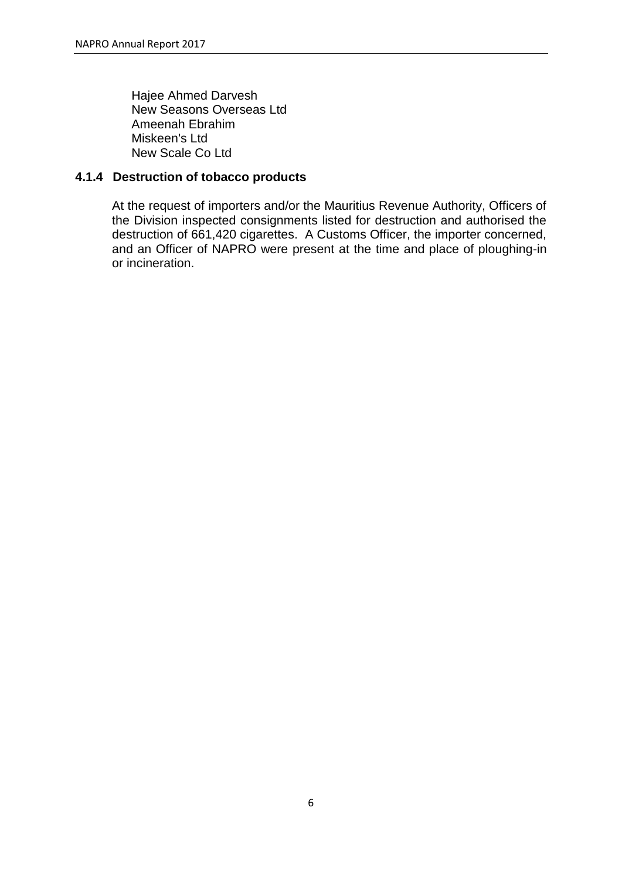Hajee Ahmed Darvesh New Seasons Overseas Ltd Ameenah Ebrahim Miskeen's Ltd New Scale Co Ltd

## **4.1.4 Destruction of tobacco products**

At the request of importers and/or the Mauritius Revenue Authority, Officers of the Division inspected consignments listed for destruction and authorised the destruction of 661,420 cigarettes. A Customs Officer, the importer concerned, and an Officer of NAPRO were present at the time and place of ploughing-in or incineration.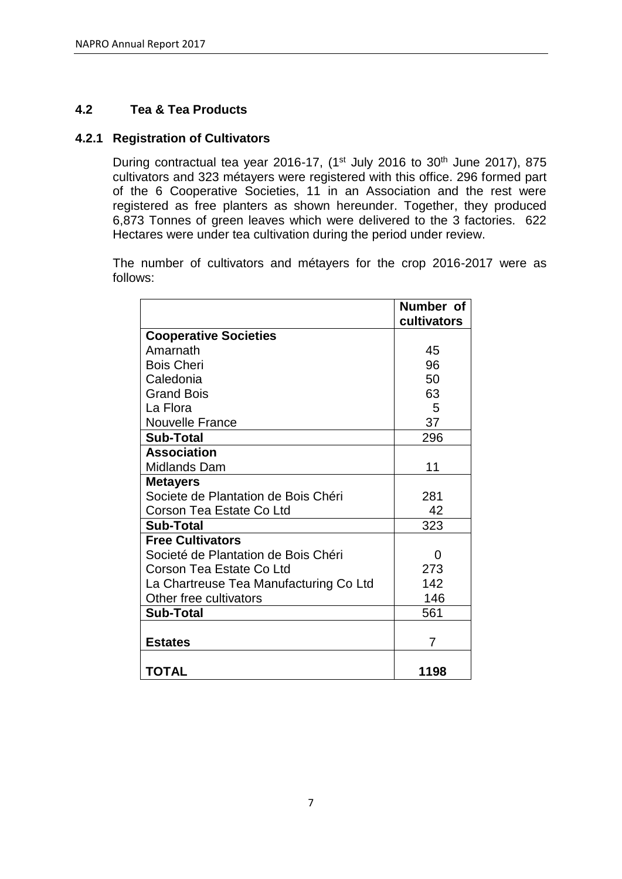## **4.2 Tea & Tea Products**

## **4.2.1 Registration of Cultivators**

During contractual tea year 2016-17, (1<sup>st</sup> July 2016 to 30<sup>th</sup> June 2017), 875 cultivators and 323 métayers were registered with this office. 296 formed part of the 6 Cooperative Societies, 11 in an Association and the rest were registered as free planters as shown hereunder. Together, they produced 6,873 Tonnes of green leaves which were delivered to the 3 factories. 622 Hectares were under tea cultivation during the period under review.

The number of cultivators and métayers for the crop 2016-2017 were as follows:

|                                        | Number of<br>cultivators |
|----------------------------------------|--------------------------|
| <b>Cooperative Societies</b>           |                          |
| Amarnath                               | 45                       |
| <b>Bois Cheri</b>                      | 96                       |
| Caledonia                              | 50                       |
| <b>Grand Bois</b>                      | 63                       |
| La Flora                               | 5                        |
| <b>Nouvelle France</b>                 | 37                       |
| <b>Sub-Total</b>                       | 296                      |
| <b>Association</b>                     |                          |
| Midlands Dam                           | 11                       |
| <b>Metayers</b>                        |                          |
| Societe de Plantation de Bois Chéri    | 281                      |
| Corson Tea Estate Co Ltd               | 42                       |
| <b>Sub-Total</b>                       | 323                      |
| <b>Free Cultivators</b>                |                          |
| Societé de Plantation de Bois Chéri    | 0                        |
| Corson Tea Estate Co Ltd               | 273                      |
| La Chartreuse Tea Manufacturing Co Ltd | 142                      |
| Other free cultivators                 | 146                      |
| <b>Sub-Total</b>                       | 561                      |
|                                        |                          |
| <b>Estates</b>                         | 7                        |
|                                        |                          |
| <b>TOTAL</b>                           | 1198                     |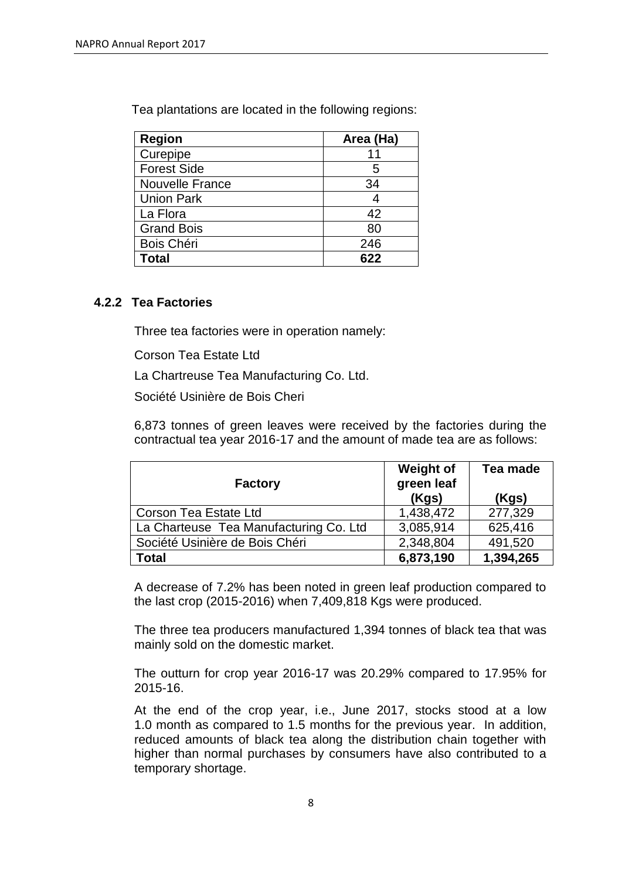Tea plantations are located in the following regions:

| <b>Region</b>          | Area (Ha) |
|------------------------|-----------|
| Curepipe               |           |
| <b>Forest Side</b>     | 5         |
| <b>Nouvelle France</b> | 34        |
| <b>Union Park</b>      |           |
| La Flora               | 42        |
| <b>Grand Bois</b>      | 80        |
| Bois Chéri             | 246       |
| Total                  | 622       |

## **4.2.2 Tea Factories**

Three tea factories were in operation namely:

Corson Tea Estate Ltd

La Chartreuse Tea Manufacturing Co. Ltd.

Société Usinière de Bois Cheri

6,873 tonnes of green leaves were received by the factories during the contractual tea year 2016-17 and the amount of made tea are as follows:

| <b>Factory</b>                         | <b>Weight of</b><br>green leaf<br>(Kgs) | Tea made<br>(Kgs) |
|----------------------------------------|-----------------------------------------|-------------------|
| <b>Corson Tea Estate Ltd</b>           | 1,438,472                               | 277,329           |
| La Charteuse Tea Manufacturing Co. Ltd | 3,085,914                               | 625,416           |
| Société Usinière de Bois Chéri         | 2,348,804                               | 491,520           |
| <b>Total</b>                           | 6,873,190                               | 1,394,265         |

A decrease of 7.2% has been noted in green leaf production compared to the last crop (2015-2016) when 7,409,818 Kgs were produced.

The three tea producers manufactured 1,394 tonnes of black tea that was mainly sold on the domestic market.

The outturn for crop year 2016-17 was 20.29% compared to 17.95% for 2015-16.

At the end of the crop year, i.e., June 2017, stocks stood at a low 1.0 month as compared to 1.5 months for the previous year. In addition, reduced amounts of black tea along the distribution chain together with higher than normal purchases by consumers have also contributed to a temporary shortage.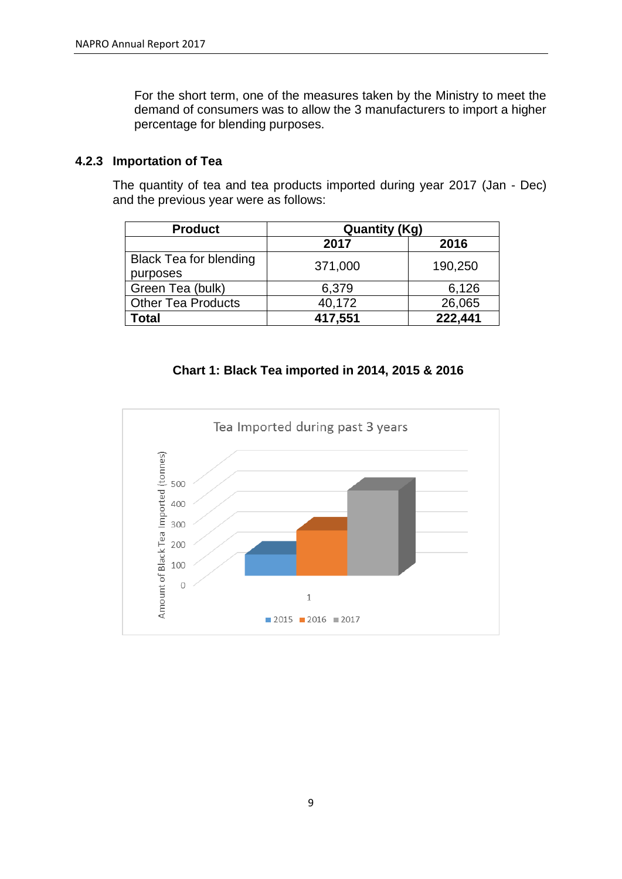For the short term, one of the measures taken by the Ministry to meet the demand of consumers was to allow the 3 manufacturers to import a higher percentage for blending purposes.

## **4.2.3 Importation of Tea**

The quantity of tea and tea products imported during year 2017 (Jan - Dec) and the previous year were as follows:

| <b>Product</b>                | <b>Quantity (Kg)</b> |         |  |
|-------------------------------|----------------------|---------|--|
|                               | 2017                 | 2016    |  |
| <b>Black Tea for blending</b> | 371,000              | 190,250 |  |
| purposes                      |                      |         |  |
| Green Tea (bulk)              | 6,379                | 6,126   |  |
| <b>Other Tea Products</b>     | 40,172               | 26,065  |  |
| Total                         | 417,551              | 222,441 |  |

## **Chart 1: Black Tea imported in 2014, 2015 & 2016**

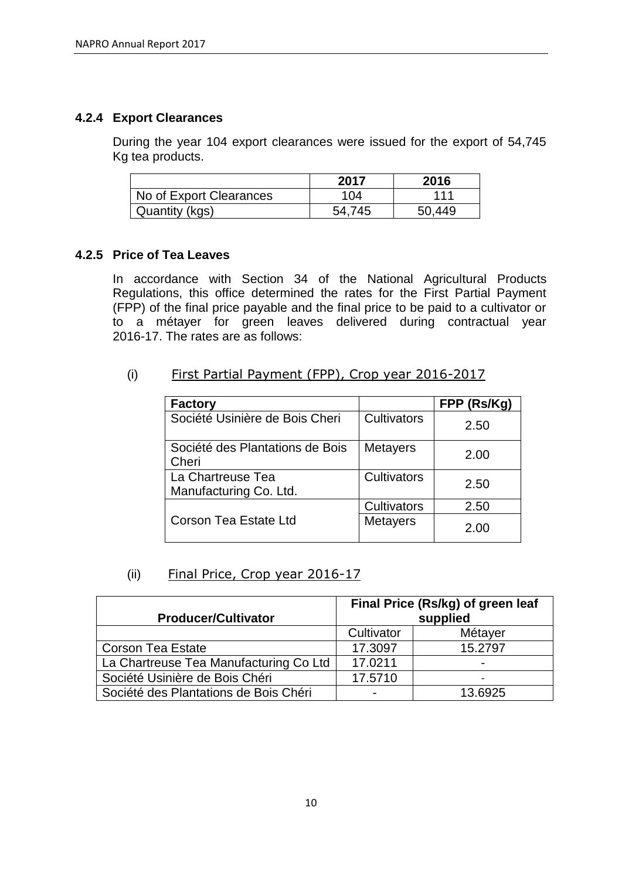## **4.2.4 Export Clearances**

During the year 104 export clearances were issued for the export of 54,745 Kg tea products.

|                         | 2017   | 2016   |
|-------------------------|--------|--------|
| No of Export Clearances | 104    | 111    |
| Quantity (kgs)          | 54.745 | 50.449 |

## **4.2.5 Price of Tea Leaves**

In accordance with Section 34 of the National Agricultural Products Regulations, this office determined the rates for the First Partial Payment (FPP) of the final price payable and the final price to be paid to a cultivator or to a métayer for green leaves delivered during contractual year 2016-17. The rates are as follows:

(i) First Partial Payment (FPP), Crop year 2016-2017

| <b>Factory</b>                              |                 | FPP (Rs/Kg) |
|---------------------------------------------|-----------------|-------------|
| Société Usinière de Bois Cheri              | Cultivators     | 2.50        |
| Société des Plantations de Bois<br>Cheri    | <b>Metayers</b> | 2.00        |
| La Chartreuse Tea<br>Manufacturing Co. Ltd. | Cultivators     | 2.50        |
|                                             | Cultivators     | 2.50        |
| <b>Corson Tea Estate Ltd</b>                | <b>Metayers</b> | 2.00        |

## (ii) Final Price, Crop year 2016-17

| Final Price (Rs/kg) of green leaf      |            |                          |
|----------------------------------------|------------|--------------------------|
| <b>Producer/Cultivator</b>             | supplied   |                          |
|                                        | Cultivator | Métayer                  |
| <b>Corson Tea Estate</b>               | 17.3097    | 15.2797                  |
| La Chartreuse Tea Manufacturing Co Ltd | 17.0211    | $\overline{\phantom{0}}$ |
| Société Usinière de Bois Chéri         | 17.5710    | $\overline{\phantom{0}}$ |
| Société des Plantations de Bois Chéri  |            | 13.6925                  |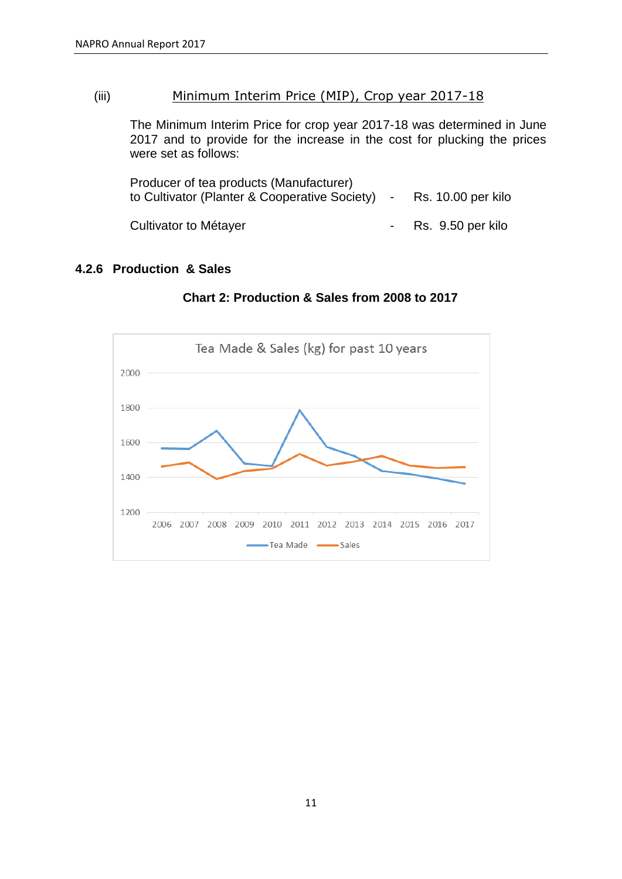## (iii) Minimum Interim Price (MIP), Crop year 2017-18

The Minimum Interim Price for crop year 2017-18 was determined in June 2017 and to provide for the increase in the cost for plucking the prices were set as follows:

| Producer of tea products (Manufacturer)<br>to Cultivator (Planter & Cooperative Society) - Rs. 10.00 per kilo |                     |
|---------------------------------------------------------------------------------------------------------------|---------------------|
| Cultivator to Métayer                                                                                         | - Rs. 9.50 per kilo |

## **4.2.6 Production & Sales**



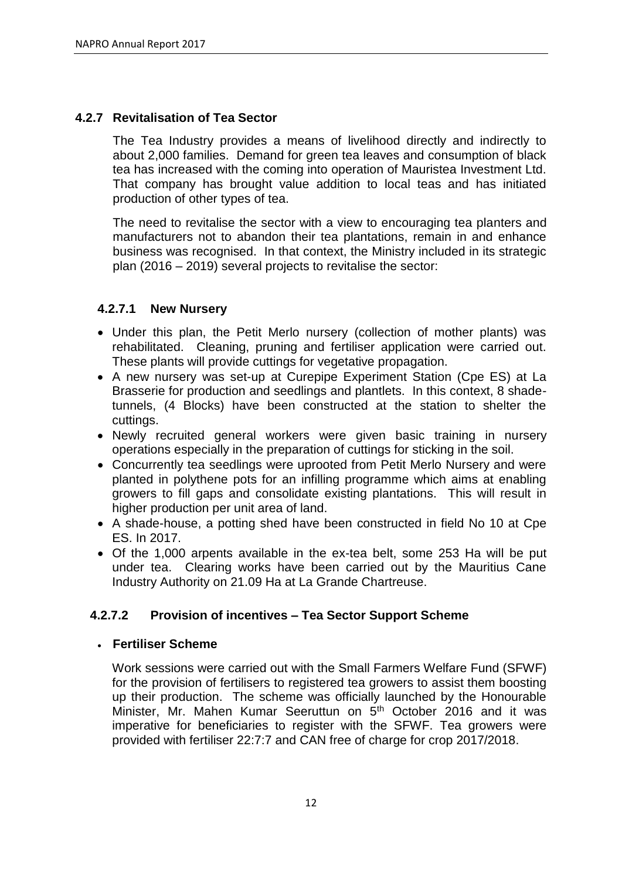## **4.2.7 Revitalisation of Tea Sector**

The Tea Industry provides a means of livelihood directly and indirectly to about 2,000 families. Demand for green tea leaves and consumption of black tea has increased with the coming into operation of Mauristea Investment Ltd. That company has brought value addition to local teas and has initiated production of other types of tea.

The need to revitalise the sector with a view to encouraging tea planters and manufacturers not to abandon their tea plantations, remain in and enhance business was recognised. In that context, the Ministry included in its strategic plan (2016 – 2019) several projects to revitalise the sector:

## **4.2.7.1 New Nursery**

- Under this plan, the Petit Merlo nursery (collection of mother plants) was rehabilitated. Cleaning, pruning and fertiliser application were carried out. These plants will provide cuttings for vegetative propagation.
- A new nursery was set-up at Curepipe Experiment Station (Cpe ES) at La Brasserie for production and seedlings and plantlets. In this context, 8 shadetunnels, (4 Blocks) have been constructed at the station to shelter the cuttings.
- Newly recruited general workers were given basic training in nursery operations especially in the preparation of cuttings for sticking in the soil.
- Concurrently tea seedlings were uprooted from Petit Merlo Nursery and were planted in polythene pots for an infilling programme which aims at enabling growers to fill gaps and consolidate existing plantations. This will result in higher production per unit area of land.
- A shade-house, a potting shed have been constructed in field No 10 at Cpe ES. In 2017.
- Of the 1,000 arpents available in the ex-tea belt, some 253 Ha will be put under tea. Clearing works have been carried out by the Mauritius Cane Industry Authority on 21.09 Ha at La Grande Chartreuse.

## **4.2.7.2 Provision of incentives – Tea Sector Support Scheme**

## **Fertiliser Scheme**

Work sessions were carried out with the Small Farmers Welfare Fund (SFWF) for the provision of fertilisers to registered tea growers to assist them boosting up their production. The scheme was officially launched by the Honourable Minister, Mr. Mahen Kumar Seeruttun on 5<sup>th</sup> October 2016 and it was imperative for beneficiaries to register with the SFWF. Tea growers were provided with fertiliser 22:7:7 and CAN free of charge for crop 2017/2018.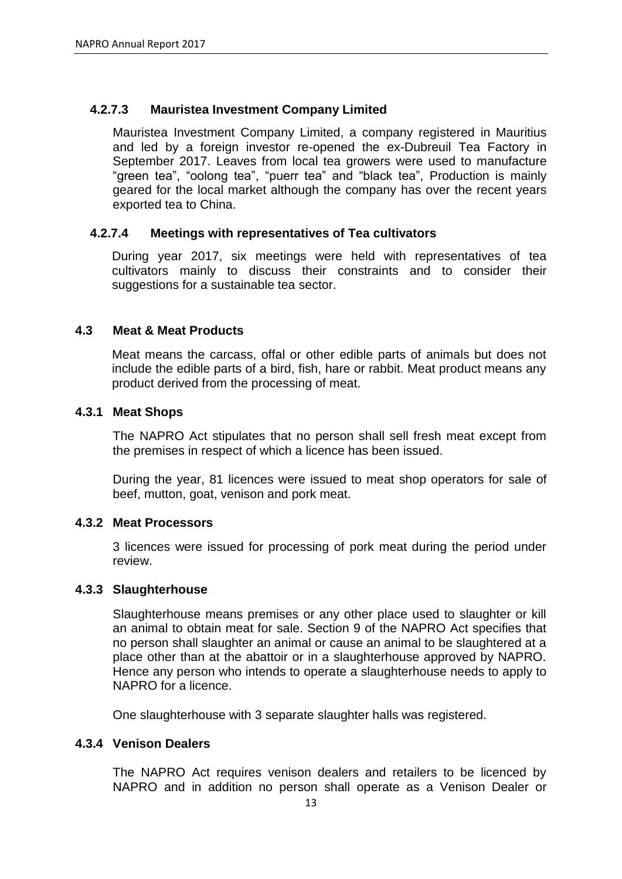## **4.2.7.3 Mauristea Investment Company Limited**

Mauristea Investment Company Limited, a company registered in Mauritius and led by a foreign investor re-opened the ex-Dubreuil Tea Factory in September 2017. Leaves from local tea growers were used to manufacture "green tea", "oolong tea", "puerr tea" and "black tea", Production is mainly geared for the local market although the company has over the recent years exported tea to China.

## **4.2.7.4 Meetings with representatives of Tea cultivators**

During year 2017, six meetings were held with representatives of tea cultivators mainly to discuss their constraints and to consider their suggestions for a sustainable tea sector.

## **4.3 Meat & Meat Products**

Meat means the carcass, offal or other edible parts of animals but does not include the edible parts of a bird, fish, hare or rabbit. Meat product means any product derived from the processing of meat.

## **4.3.1 Meat Shops**

The NAPRO Act stipulates that no person shall sell fresh meat except from the premises in respect of which a licence has been issued.

During the year, 81 licences were issued to meat shop operators for sale of beef, mutton, goat, venison and pork meat.

## **4.3.2 Meat Processors**

3 licences were issued for processing of pork meat during the period under review.

#### **4.3.3 Slaughterhouse**

Slaughterhouse means premises or any other place used to slaughter or kill an animal to obtain meat for sale. Section 9 of the NAPRO Act specifies that no person shall slaughter an animal or cause an animal to be slaughtered at a place other than at the abattoir or in a slaughterhouse approved by NAPRO. Hence any person who intends to operate a slaughterhouse needs to apply to NAPRO for a licence.

One slaughterhouse with 3 separate slaughter halls was registered.

#### **4.3.4 Venison Dealers**

The NAPRO Act requires venison dealers and retailers to be licenced by NAPRO and in addition no person shall operate as a Venison Dealer or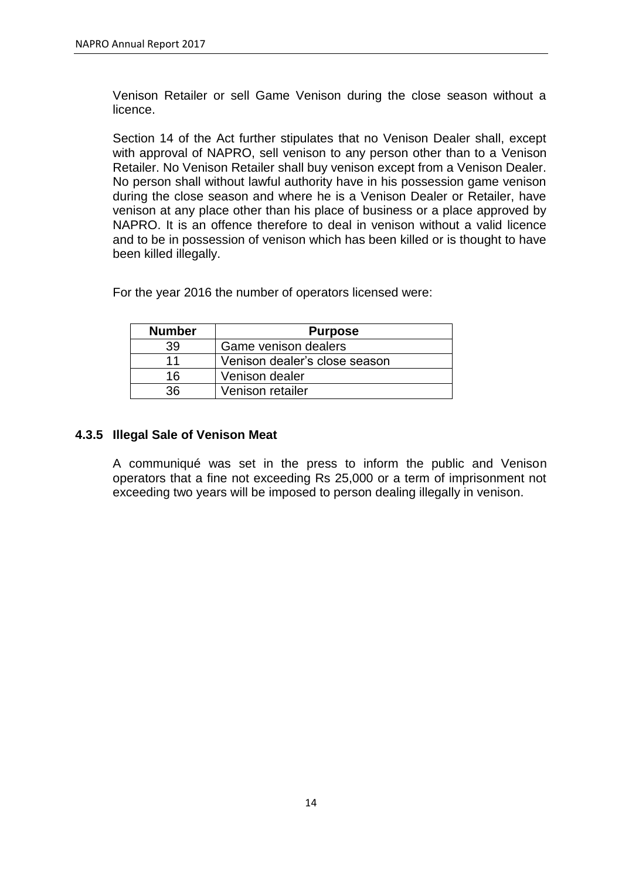Venison Retailer or sell Game Venison during the close season without a licence.

Section 14 of the Act further stipulates that no Venison Dealer shall, except with approval of NAPRO, sell venison to any person other than to a Venison Retailer. No Venison Retailer shall buy venison except from a Venison Dealer. No person shall without lawful authority have in his possession game venison during the close season and where he is a Venison Dealer or Retailer, have venison at any place other than his place of business or a place approved by NAPRO. It is an offence therefore to deal in venison without a valid licence and to be in possession of venison which has been killed or is thought to have been killed illegally.

٦

**Number Purpose**

For the year 2016 the number of operators licensed were:

| .  | .                             |
|----|-------------------------------|
| 39 | Game venison dealers          |
| 11 | Venison dealer's close season |
| 16 | Venison dealer                |
| 36 | Venison retailer              |

## **4.3.5 Illegal Sale of Venison Meat**

A communiqué was set in the press to inform the public and Venison operators that a fine not exceeding Rs 25,000 or a term of imprisonment not exceeding two years will be imposed to person dealing illegally in venison.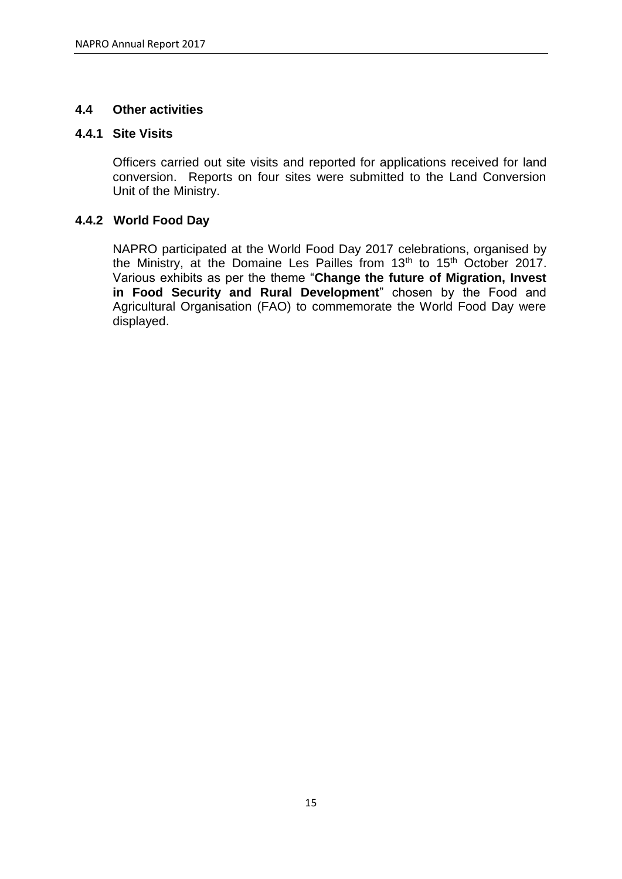## **4.4 Other activities**

## **4.4.1 Site Visits**

Officers carried out site visits and reported for applications received for land conversion. Reports on four sites were submitted to the Land Conversion Unit of the Ministry.

## **4.4.2 World Food Day**

NAPRO participated at the World Food Day 2017 celebrations, organised by the Ministry, at the Domaine Les Pailles from 13<sup>th</sup> to 15<sup>th</sup> October 2017. Various exhibits as per the theme "**Change the future of Migration, Invest in Food Security and Rural Development**" chosen by the Food and Agricultural Organisation (FAO) to commemorate the World Food Day were displayed.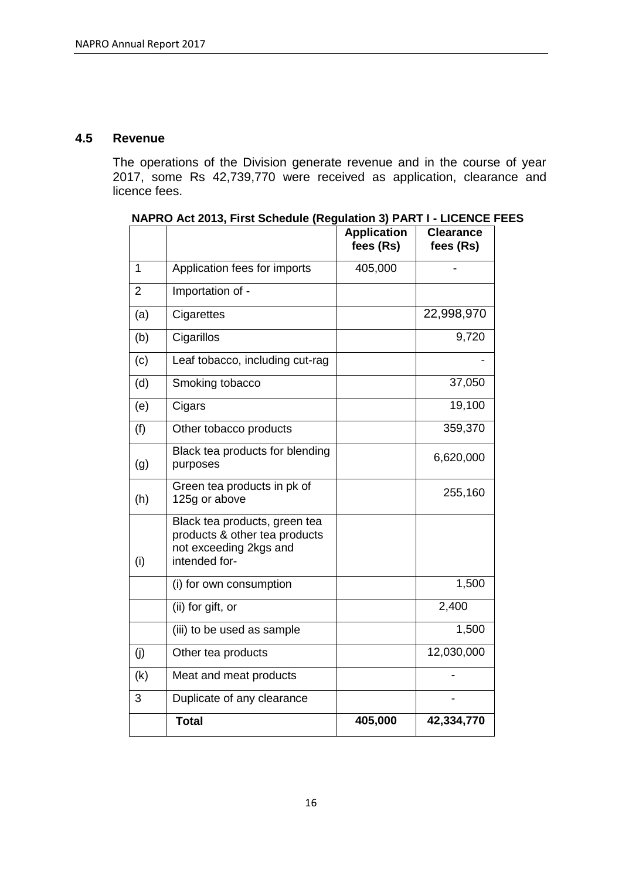#### **4.5 Revenue**

The operations of the Division generate revenue and in the course of year 2017, some Rs 42,739,770 were received as application, clearance and licence fees.

|     |                                                                                                           | <b>Application</b><br>fees (Rs) | <b>Clearance</b><br>fees (Rs) |
|-----|-----------------------------------------------------------------------------------------------------------|---------------------------------|-------------------------------|
| 1   | Application fees for imports                                                                              | 405,000                         |                               |
| 2   | Importation of -                                                                                          |                                 |                               |
| (a) | Cigarettes                                                                                                |                                 | 22,998,970                    |
| (b) | Cigarillos                                                                                                |                                 | 9,720                         |
| (c) | Leaf tobacco, including cut-rag                                                                           |                                 |                               |
| (d) | Smoking tobacco                                                                                           |                                 | 37,050                        |
| (e) | Cigars                                                                                                    |                                 | 19,100                        |
| (f) | Other tobacco products                                                                                    |                                 | 359,370                       |
| (g) | Black tea products for blending<br>purposes                                                               |                                 | 6,620,000                     |
| (h) | Green tea products in pk of<br>125g or above                                                              |                                 | 255,160                       |
| (i) | Black tea products, green tea<br>products & other tea products<br>not exceeding 2kgs and<br>intended for- |                                 |                               |
|     | (i) for own consumption                                                                                   |                                 | 1,500                         |
|     | (ii) for gift, or                                                                                         |                                 | 2,400                         |
|     | (iii) to be used as sample                                                                                |                                 | 1,500                         |
| (i) | Other tea products                                                                                        |                                 | 12,030,000                    |
| (k) | Meat and meat products                                                                                    |                                 |                               |
| 3   | Duplicate of any clearance                                                                                |                                 |                               |
|     | <b>Total</b>                                                                                              | 405,000                         | 42,334,770                    |

**NAPRO Act 2013, First Schedule (Regulation 3) PART I - LICENCE FEES**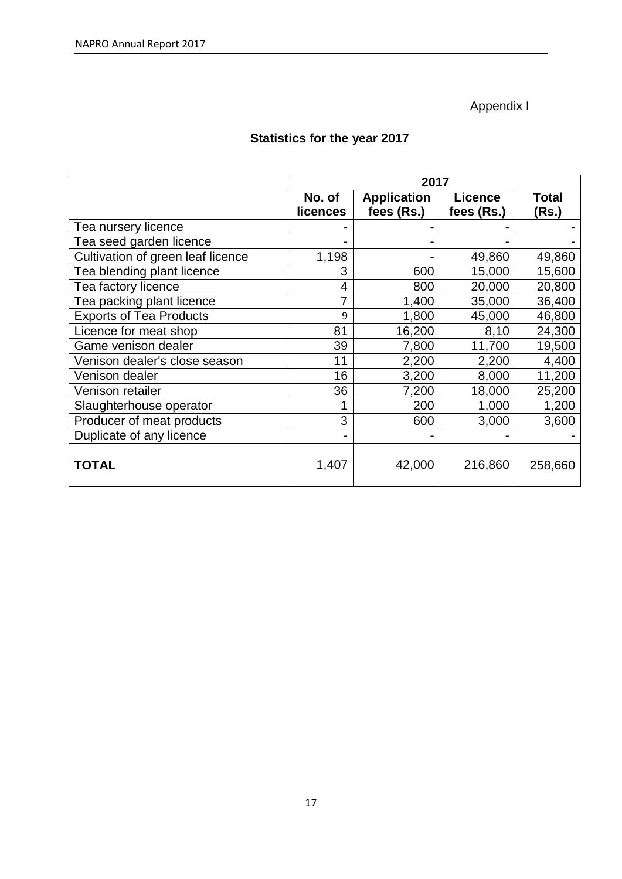# Appendix I

# **Statistics for the year 2017**

|                                   | 2017                      |                                  |                              |                       |  |
|-----------------------------------|---------------------------|----------------------------------|------------------------------|-----------------------|--|
|                                   | No. of<br><b>licences</b> | <b>Application</b><br>fees (Rs.) | <b>Licence</b><br>fees (Rs.) | <b>Total</b><br>(Rs.) |  |
| Tea nursery licence               |                           |                                  |                              |                       |  |
| Tea seed garden licence           |                           |                                  |                              |                       |  |
| Cultivation of green leaf licence | 1,198                     |                                  | 49,860                       | 49,860                |  |
| Tea blending plant licence        | 3                         | 600                              | 15,000                       | 15,600                |  |
| Tea factory licence               | 4                         | 800                              | 20,000                       | 20,800                |  |
| Tea packing plant licence         | 7                         | 1,400                            | 35,000                       | 36,400                |  |
| <b>Exports of Tea Products</b>    | 9                         | 1,800                            | 45,000                       | 46,800                |  |
| Licence for meat shop             | 81                        | 16,200                           | 8,10                         | 24,300                |  |
| Game venison dealer               | 39                        | 7,800                            | 11,700                       | 19,500                |  |
| Venison dealer's close season     | 11                        | 2,200                            | 2,200                        | 4,400                 |  |
| Venison dealer                    | 16                        | 3,200                            | 8,000                        | 11,200                |  |
| Venison retailer                  | 36                        | 7,200                            | 18,000                       | 25,200                |  |
| Slaughterhouse operator           |                           | 200                              | 1,000                        | 1,200                 |  |
| Producer of meat products         | 3                         | 600                              | 3,000                        | 3,600                 |  |
| Duplicate of any licence          |                           |                                  |                              |                       |  |
| TOTAL                             | 1,407                     | 42,000                           | 216,860                      | 258,660               |  |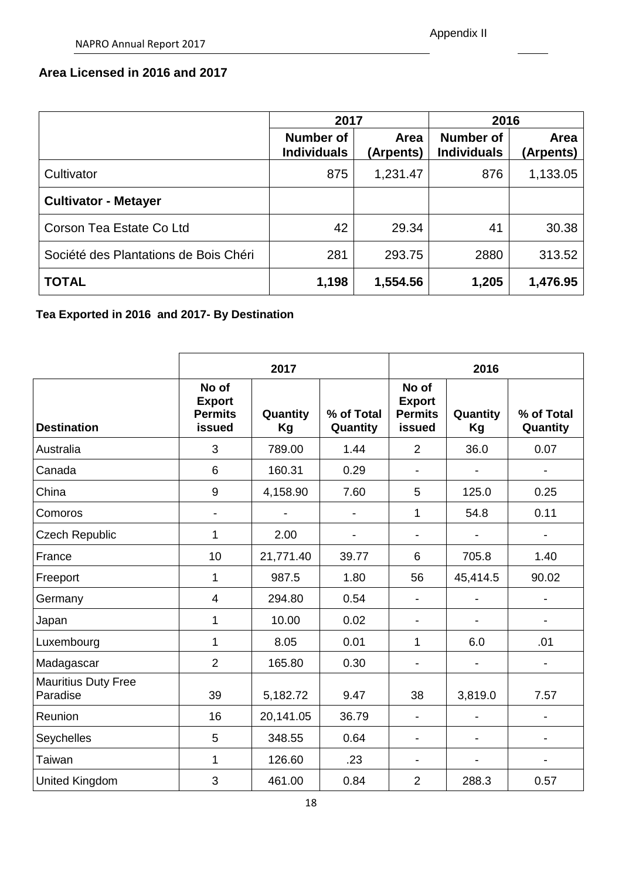## **Area Licensed in 2016 and 2017**

|                                       | 2017                            |                   | 2016                            |                   |  |
|---------------------------------------|---------------------------------|-------------------|---------------------------------|-------------------|--|
|                                       | Number of<br><b>Individuals</b> | Area<br>(Arpents) | Number of<br><b>Individuals</b> | Area<br>(Arpents) |  |
| Cultivator                            | 875                             | 1,231.47          | 876                             | 1,133.05          |  |
| <b>Cultivator - Metayer</b>           |                                 |                   |                                 |                   |  |
| Corson Tea Estate Co Ltd              | 42                              | 29.34             | 41                              | 30.38             |  |
| Société des Plantations de Bois Chéri | 281                             | 293.75            | 2880                            | 313.52            |  |
| <b>TOTAL</b>                          | 1,198                           | 1,554.56          | 1,205                           | 1,476.95          |  |

# **Tea Exported in 2016 and 2017- By Destination**

|                                        |                                                    | 2017           |                        | 2016                                               |                |                        |
|----------------------------------------|----------------------------------------------------|----------------|------------------------|----------------------------------------------------|----------------|------------------------|
| <b>Destination</b>                     | No of<br><b>Export</b><br><b>Permits</b><br>issued | Quantity<br>Kg | % of Total<br>Quantity | No of<br><b>Export</b><br><b>Permits</b><br>issued | Quantity<br>Kg | % of Total<br>Quantity |
| Australia                              | 3                                                  | 789.00         | 1.44                   | $\overline{2}$                                     | 36.0           | 0.07                   |
| Canada                                 | $6\phantom{1}$                                     | 160.31         | 0.29                   | $\blacksquare$                                     |                |                        |
| China                                  | $\boldsymbol{9}$                                   | 4,158.90       | 7.60                   | 5                                                  | 125.0          | 0.25                   |
| Comoros                                | $\overline{\phantom{a}}$                           |                |                        | 1                                                  | 54.8           | 0.11                   |
| <b>Czech Republic</b>                  | $\mathbf{1}$                                       | 2.00           |                        | $\blacksquare$                                     |                | -                      |
| France                                 | 10                                                 | 21,771.40      | 39.77                  | 6                                                  | 705.8          | 1.40                   |
| Freeport                               | $\mathbf{1}$                                       | 987.5          | 1.80                   | 56                                                 | 45,414.5       | 90.02                  |
| Germany                                | $\overline{4}$                                     | 294.80         | 0.54                   | $\overline{\phantom{a}}$                           |                |                        |
| Japan                                  | 1                                                  | 10.00          | 0.02                   | $\overline{\phantom{a}}$                           |                | -                      |
| Luxembourg                             | $\mathbf{1}$                                       | 8.05           | 0.01                   | 1                                                  | 6.0            | .01                    |
| Madagascar                             | $\overline{2}$                                     | 165.80         | 0.30                   |                                                    |                |                        |
| <b>Mauritius Duty Free</b><br>Paradise | 39                                                 | 5,182.72       | 9.47                   | 38                                                 | 3,819.0        | 7.57                   |
| Reunion                                | 16                                                 | 20,141.05      | 36.79                  |                                                    |                |                        |
| Seychelles                             | 5                                                  | 348.55         | 0.64                   | $\overline{\phantom{a}}$                           | -              | -                      |
| Taiwan                                 | $\mathbf{1}$                                       | 126.60         | .23                    | $\blacksquare$                                     |                |                        |
| United Kingdom                         | 3                                                  | 461.00         | 0.84                   | $\overline{2}$                                     | 288.3          | 0.57                   |